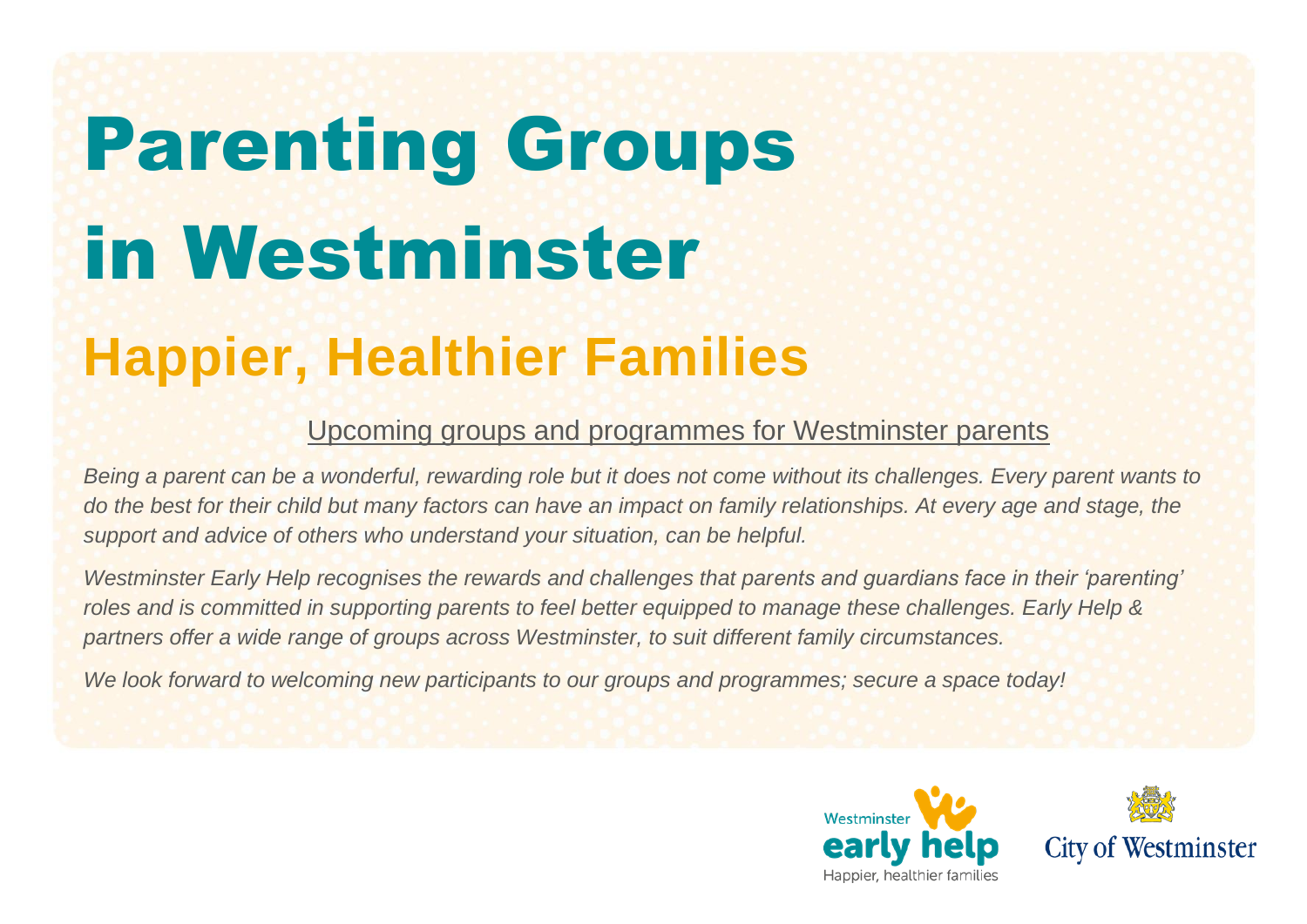# Parenting Groups in Westminster

## **Happier, Healthier Families**

#### Upcoming groups and programmes for Westminster parents

*Being a parent can be a wonderful, rewarding role but it does not come without its challenges. Every parent wants to*  do the best for their child but many factors can have an impact on family relationships. At every age and stage, the *support and advice of others who understand your situation, can be helpful.* 

*Westminster Early Help recognises the rewards and challenges that parents and guardians face in their 'parenting' roles and is committed in supporting parents to feel better equipped to manage these challenges. Early Help & partners offer a wide range of groups across Westminster, to suit different family circumstances.* 

*We look forward to welcoming new participants to our groups and programmes; secure a space today!* 



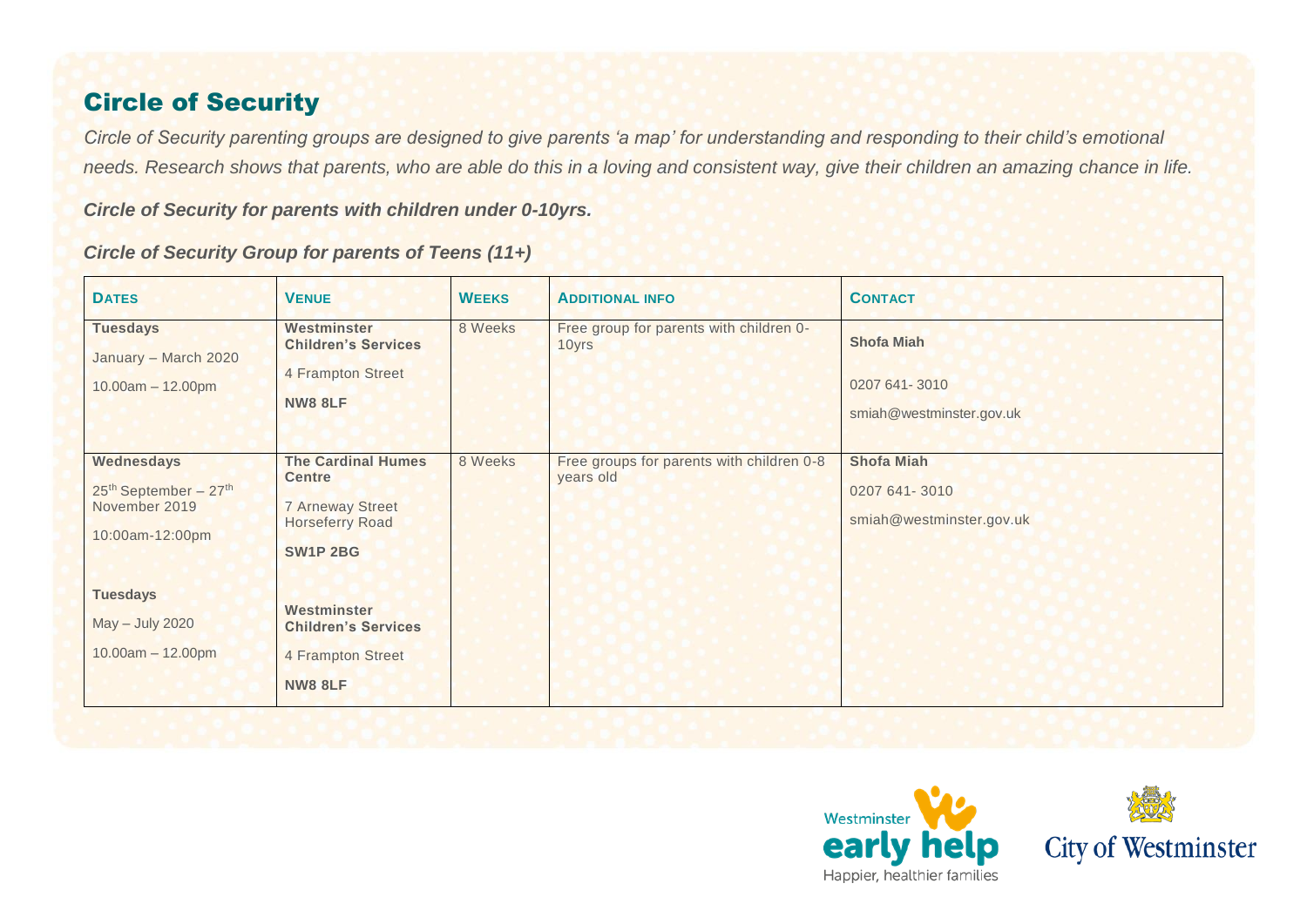#### Circle of Security

*Circle of Security parenting groups are designed to give parents 'a map' for understanding and responding to their child's emotional needs. Research shows that parents, who are able do this in a loving and consistent way, give their children an amazing chance in life.*

*Circle of Security for parents with children under 0-10yrs.* 

#### *Circle of Security Group for parents of Teens (11+)*

| <b>DATES</b>                                                                                                                                                 | <b>VENUE</b>                                                                                                                                                                                           | <b>WEEKS</b> | <b>ADDITIONAL INFO</b>                                 | <b>CONTACT</b>                                                 |
|--------------------------------------------------------------------------------------------------------------------------------------------------------------|--------------------------------------------------------------------------------------------------------------------------------------------------------------------------------------------------------|--------------|--------------------------------------------------------|----------------------------------------------------------------|
| <b>Tuesdays</b><br>January - March 2020<br>$10.00am - 12.00pm$                                                                                               | Westminster<br><b>Children's Services</b><br>4 Frampton Street<br><b>NW8 8LF</b>                                                                                                                       | 8 Weeks      | Free group for parents with children 0-<br>10yrs       | <b>Shofa Miah</b><br>0207 641-3010<br>smiah@westminster.gov.uk |
| Wednesdays<br>25 <sup>th</sup> September - 27 <sup>th</sup><br>November 2019<br>10:00am-12:00pm<br><b>Tuesdays</b><br>May - July 2020<br>$10.00am - 12.00pm$ | <b>The Cardinal Humes</b><br><b>Centre</b><br><b>7 Arneway Street</b><br><b>Horseferry Road</b><br><b>SW1P 2BG</b><br>Westminster<br><b>Children's Services</b><br>4 Frampton Street<br><b>NW8 8LF</b> | 8 Weeks      | Free groups for parents with children 0-8<br>years old | <b>Shofa Miah</b><br>0207 641-3010<br>smiah@westminster.gov.uk |



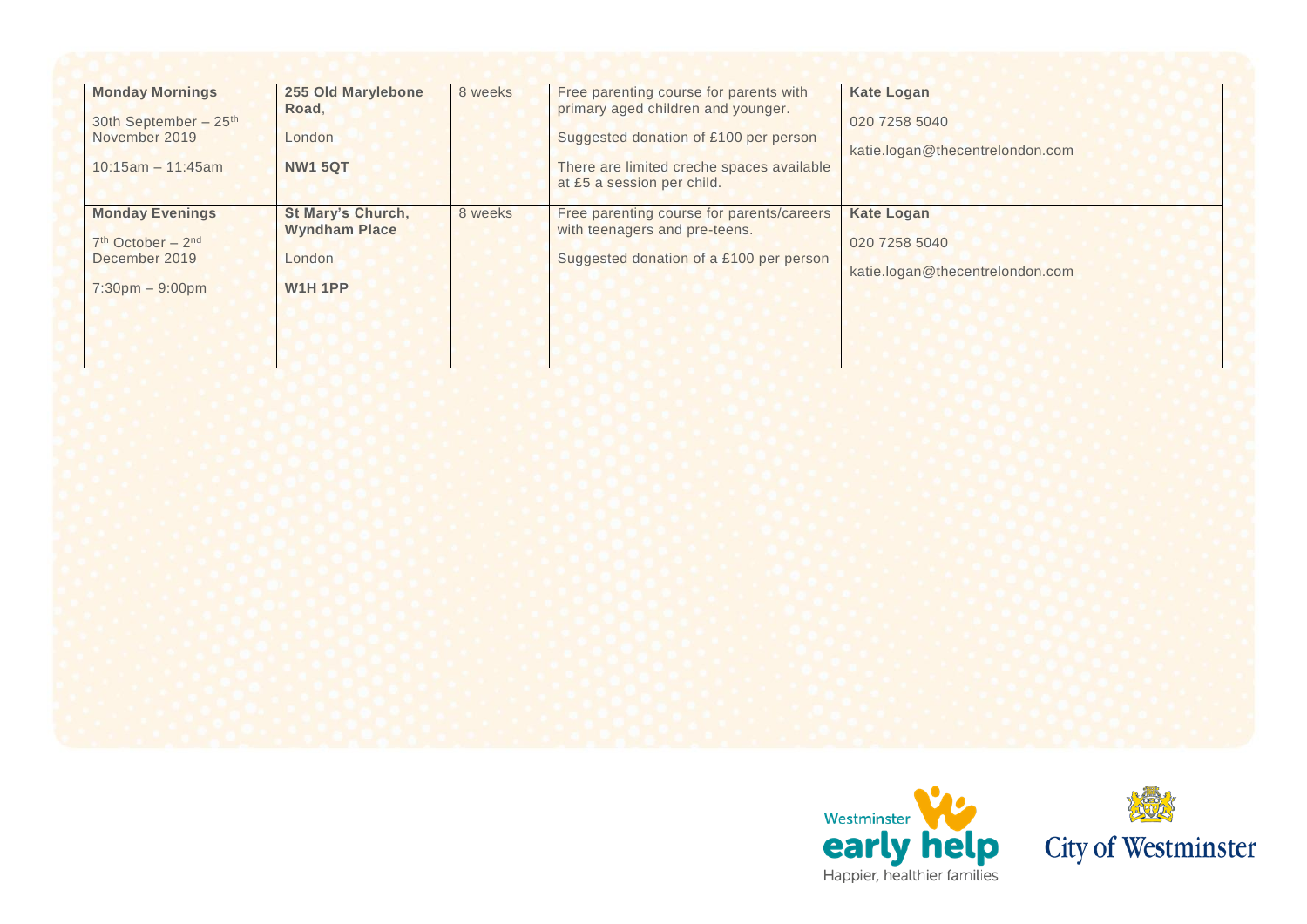| <b>Monday Mornings</b><br>30th September - 25 <sup>th</sup><br>November 2019<br>$10:15am - 11:45am$ | 255 Old Marylebone<br>Road,<br>London<br><b>NW1 5QT</b>                      | 8 weeks | Free parenting course for parents with<br>primary aged children and younger.<br>Suggested donation of £100 per person<br>There are limited creche spaces available<br>at £5 a session per child. | <b>Kate Logan</b><br>020 7258 5040<br>katie.logan@thecentrelondon.com |
|-----------------------------------------------------------------------------------------------------|------------------------------------------------------------------------------|---------|--------------------------------------------------------------------------------------------------------------------------------------------------------------------------------------------------|-----------------------------------------------------------------------|
| <b>Monday Evenings</b><br>$7th October - 2nd$<br>December 2019<br>$7:30 \text{pm} - 9:00 \text{pm}$ | <b>St Mary's Church,</b><br><b>Wyndham Place</b><br>London<br><b>W1H 1PP</b> | 8 weeks | Free parenting course for parents/careers<br>with teenagers and pre-teens.<br>Suggested donation of a £100 per person                                                                            | <b>Kate Logan</b><br>020 7258 5040<br>katie.logan@thecentrelondon.com |



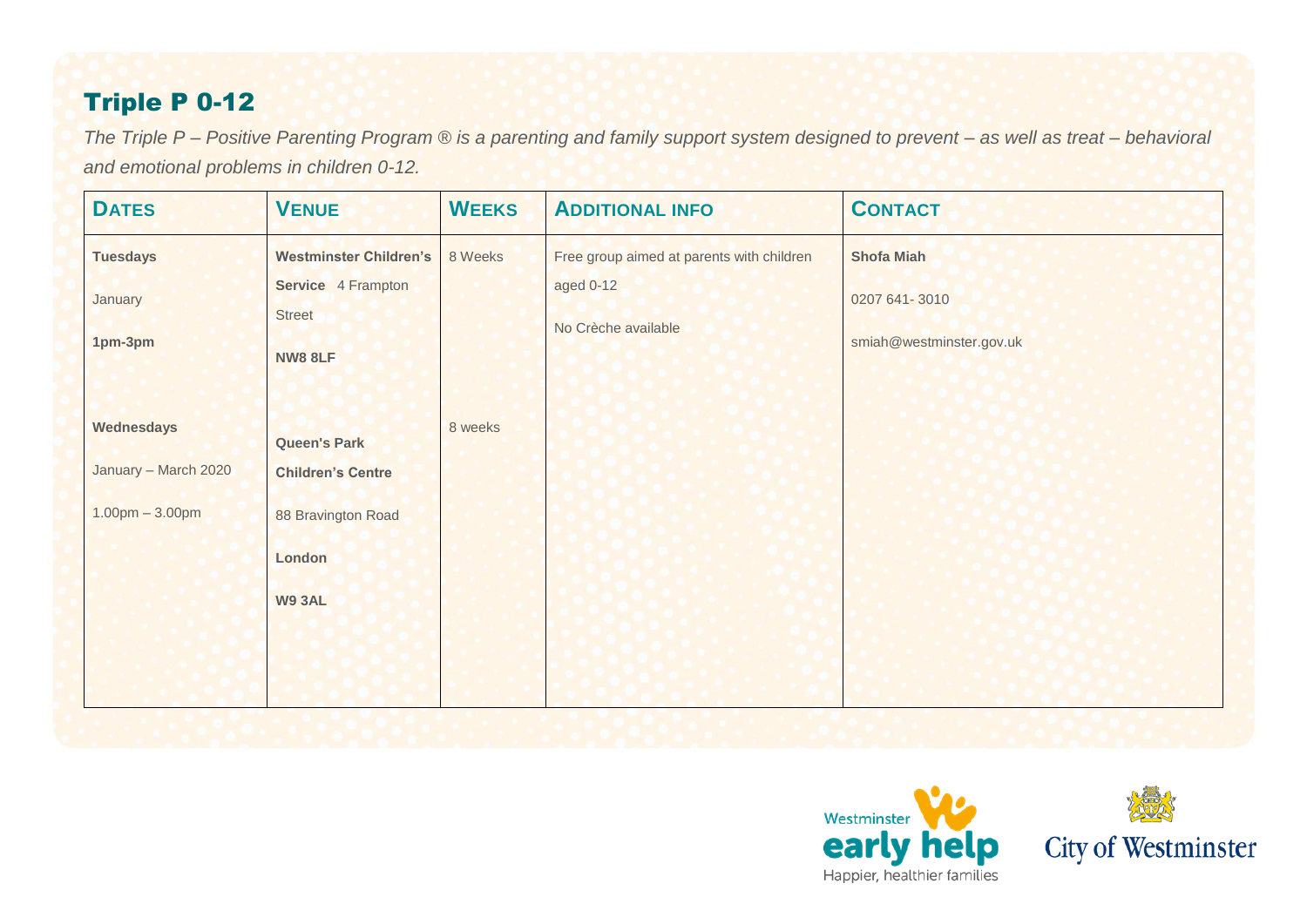### Triple P 0-12

*The Triple P – Positive Parenting Program ® is a parenting and family support system designed to prevent – as well as treat – behavioral and emotional problems in children 0-12.*

| <b>DATES</b>         | <b>VENUE</b>                  | <b>WEEKS</b> | <b>ADDITIONAL INFO</b>                    | <b>CONTACT</b>           |
|----------------------|-------------------------------|--------------|-------------------------------------------|--------------------------|
| <b>Tuesdays</b>      | <b>Westminster Children's</b> | 8 Weeks      | Free group aimed at parents with children | <b>Shofa Miah</b>        |
| January              | Service 4 Frampton            |              | aged 0-12                                 | 0207 641 - 3010          |
| 1pm-3pm              | <b>Street</b>                 |              | No Crèche available                       | smiah@westminster.gov.uk |
|                      | <b>NW8 8LF</b>                |              |                                           |                          |
| Wednesdays           |                               | 8 weeks      |                                           |                          |
|                      | <b>Queen's Park</b>           |              |                                           |                          |
| January - March 2020 | <b>Children's Centre</b>      |              |                                           |                          |
| $1.00pm - 3.00pm$    | 88 Bravington Road            |              |                                           |                          |
|                      | London                        |              |                                           |                          |
|                      | <b>W9 3AL</b>                 |              |                                           |                          |
|                      |                               |              |                                           |                          |
|                      |                               |              |                                           |                          |
|                      |                               |              |                                           |                          |



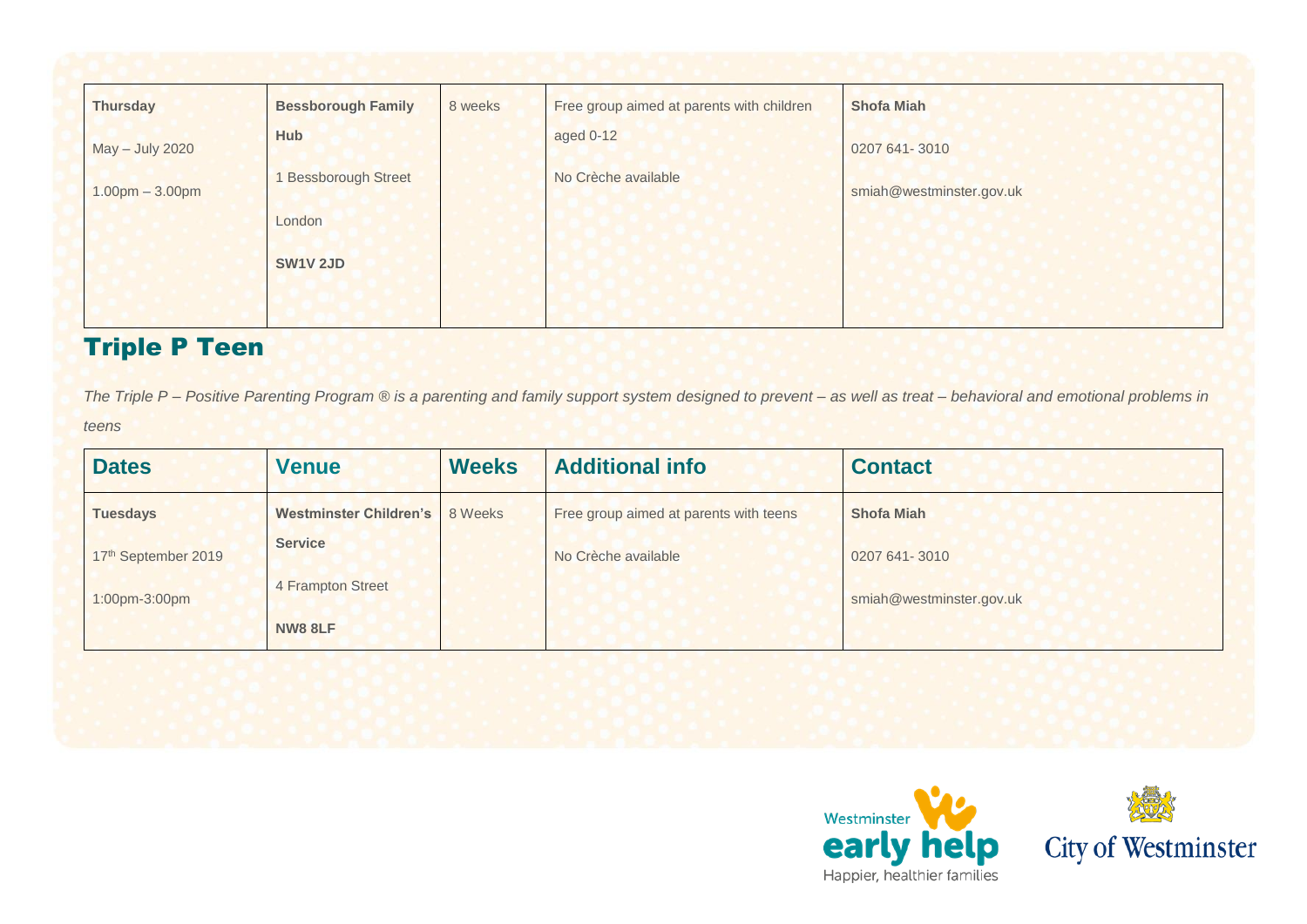| <b>Thursday</b>   | <b>Bessborough Family</b> | 8 weeks | Free group aimed at parents with children | <b>Shofa Miah</b>        |
|-------------------|---------------------------|---------|-------------------------------------------|--------------------------|
| May - July 2020   | <b>Hub</b>                |         | aged 0-12                                 | 0207 641 - 3010          |
| $1.00pm - 3.00pm$ | <b>Bessborough Street</b> |         | No Crèche available                       | smiah@westminster.gov.uk |
|                   | London                    |         |                                           |                          |
|                   | <b>SW1V 2JD</b>           |         |                                           |                          |
|                   |                           |         |                                           |                          |

#### Triple P Teen

*The Triple P – Positive Parenting Program ® is a parenting and family support system designed to prevent – as well as treat – behavioral and emotional problems in teens*

| <b>Dates</b>        | <b>Venue</b>           | <b>Weeks</b> | <b>Additional info</b>                 | <b>Contact</b>           |
|---------------------|------------------------|--------------|----------------------------------------|--------------------------|
| <b>Tuesdays</b>     | Westminster Children's | 8 Weeks      | Free group aimed at parents with teens | <b>Shofa Miah</b>        |
| 17th September 2019 | <b>Service</b>         |              | No Crèche available                    | 0207 641 - 3010          |
| 1:00pm-3:00pm       | 4 Frampton Street      |              |                                        | smiah@westminster.gov.uk |
|                     | <b>NW8 8LF</b>         |              |                                        |                          |



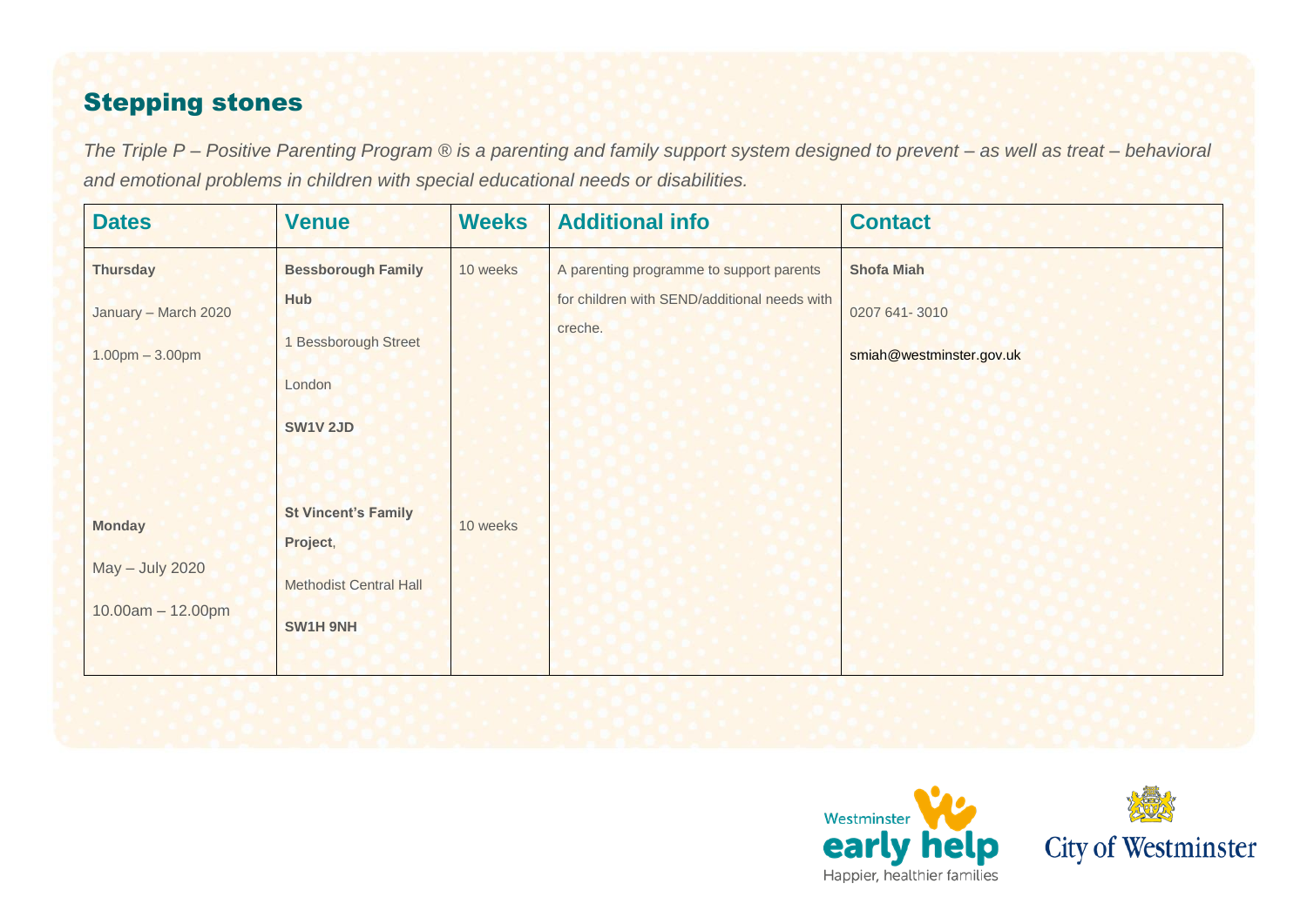#### Stepping stones

*The Triple P – Positive Parenting Program ® is a parenting and family support system designed to prevent – as well as treat – behavioral and emotional problems in children with special educational needs or disabilities.* 

| <b>Dates</b>                                                 | <b>Venue</b>                                                                                 | <b>Weeks</b> | <b>Additional info</b>                                                                              | <b>Contact</b>                                                 |
|--------------------------------------------------------------|----------------------------------------------------------------------------------------------|--------------|-----------------------------------------------------------------------------------------------------|----------------------------------------------------------------|
| <b>Thursday</b><br>January - March 2020<br>$1.00pm - 3.00pm$ | <b>Bessborough Family</b><br><b>Hub</b><br>1 Bessborough Street<br>London<br><b>SW1V 2JD</b> | 10 weeks     | A parenting programme to support parents<br>for children with SEND/additional needs with<br>creche. | <b>Shofa Miah</b><br>0207 641-3010<br>smiah@westminster.gov.uk |
| <b>Monday</b><br>May - July 2020<br>$10.00am - 12.00pm$      | <b>St Vincent's Family</b><br>Project,<br><b>Methodist Central Hall</b><br>SW1H 9NH          | 10 weeks     |                                                                                                     |                                                                |



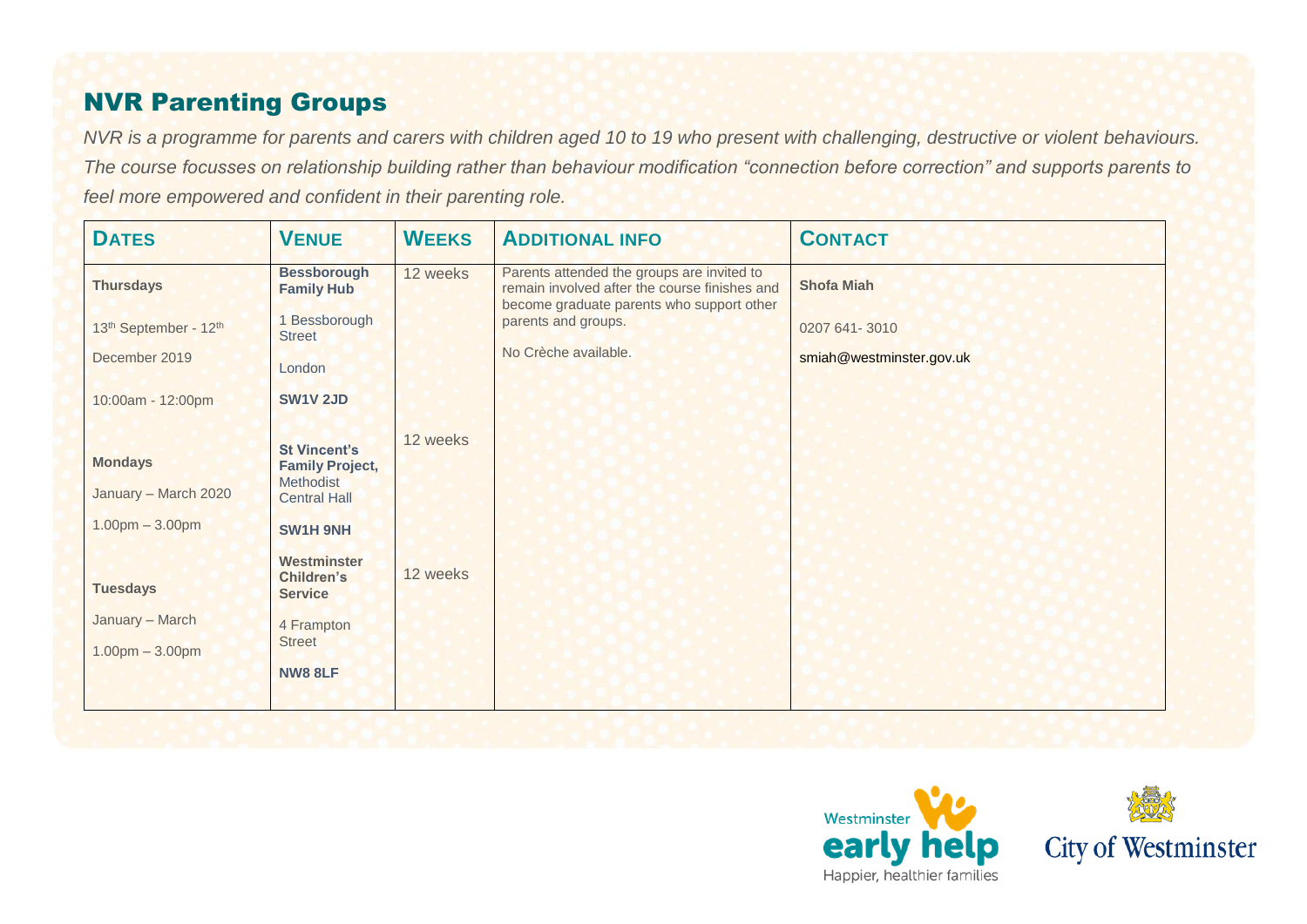#### NVR Parenting Groups

*NVR is a programme for parents and carers with children aged 10 to 19 who present with challenging, destructive or violent behaviours. The course focusses on relationship building rather than behaviour modification "connection before correction" and supports parents to feel more empowered and confident in their parenting role.* 

| <b>DATES</b>                                                | <b>VENUE</b>                                                                                         | <b>WEEKS</b> | <b>ADDITIONAL INFO</b>                                                                                                                   | <b>CONTACT</b>           |
|-------------------------------------------------------------|------------------------------------------------------------------------------------------------------|--------------|------------------------------------------------------------------------------------------------------------------------------------------|--------------------------|
| <b>Thursdays</b>                                            | <b>Bessborough</b><br><b>Family Hub</b>                                                              | 12 weeks     | Parents attended the groups are invited to<br>remain involved after the course finishes and<br>become graduate parents who support other | <b>Shofa Miah</b>        |
| 13 <sup>th</sup> September - 12 <sup>th</sup>               | 1 Bessborough<br><b>Street</b>                                                                       |              | parents and groups.<br>No Crèche available.                                                                                              | 0207 641 - 3010          |
| December 2019                                               | London                                                                                               |              |                                                                                                                                          | smiah@westminster.gov.uk |
| 10:00am - 12:00pm                                           | <b>SW1V 2JD</b>                                                                                      |              |                                                                                                                                          |                          |
| <b>Mondays</b><br>January - March 2020<br>$1.00pm - 3.00pm$ | <b>St Vincent's</b><br><b>Family Project,</b><br>Methodist<br><b>Central Hall</b><br><b>SW1H 9NH</b> | 12 weeks     |                                                                                                                                          |                          |
| <b>Tuesdays</b>                                             | Westminster<br><b>Children's</b><br><b>Service</b>                                                   | 12 weeks     |                                                                                                                                          |                          |
| January - March                                             | 4 Frampton<br><b>Street</b>                                                                          |              |                                                                                                                                          |                          |
| $1.00pm - 3.00pm$                                           | <b>NW8 8LF</b>                                                                                       |              |                                                                                                                                          |                          |



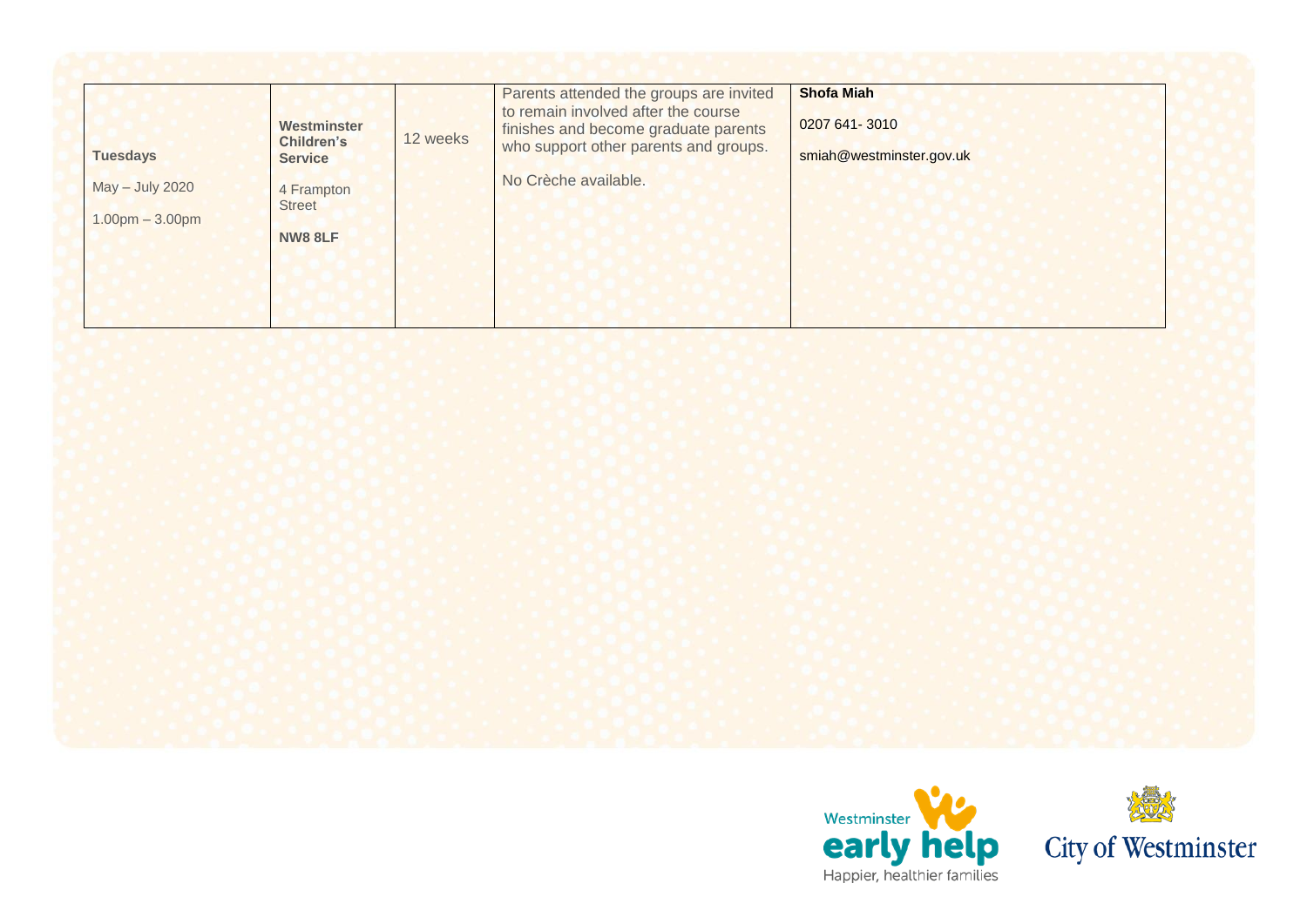| <b>Tuesdays</b>                      | Westminster<br><b>Children's</b><br><b>Service</b> | 12 weeks | Parents attended the groups are invited<br>to remain involved after the course<br>finishes and become graduate parents<br>who support other parents and groups. | <b>Shofa Miah</b><br>0207 641-3010<br>smiah@westminster.gov.uk |
|--------------------------------------|----------------------------------------------------|----------|-----------------------------------------------------------------------------------------------------------------------------------------------------------------|----------------------------------------------------------------|
| May - July 2020<br>$1.00pm - 3.00pm$ | 4 Frampton<br><b>Street</b><br><b>NW8 8LF</b>      |          | No Crèche available.                                                                                                                                            |                                                                |



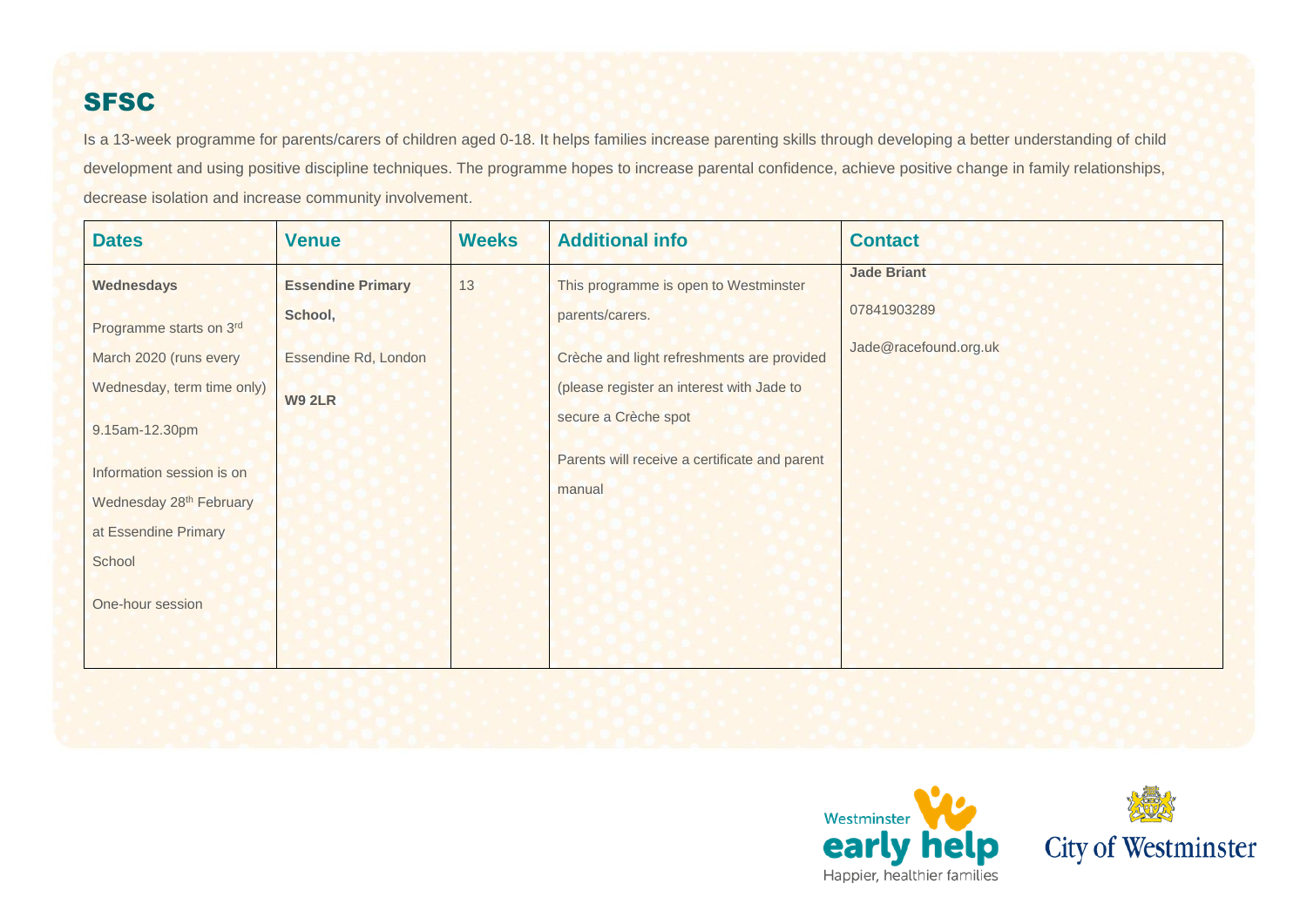### **SFSC**

Is a 13-week programme for parents/carers of children aged 0-18. It helps families increase parenting skills through developing a better understanding of child development and using positive discipline techniques. The programme hopes to increase parental confidence, achieve positive change in family relationships, decrease isolation and increase community involvement.

| <b>Dates</b>                        | <b>Venue</b>             | <b>Weeks</b> | <b>Additional info</b>                        | <b>Contact</b>        |
|-------------------------------------|--------------------------|--------------|-----------------------------------------------|-----------------------|
| Wednesdays                          | <b>Essendine Primary</b> | 13           | This programme is open to Westminster         | <b>Jade Briant</b>    |
| Programme starts on 3rd             | School,                  |              | parents/carers.                               | 07841903289           |
| March 2020 (runs every              | Essendine Rd, London     |              | Crèche and light refreshments are provided    | Jade@racefound.org.uk |
| Wednesday, term time only)          | <b>W9 2LR</b>            |              | (please register an interest with Jade to     |                       |
| 9.15am-12.30pm                      |                          |              | secure a Crèche spot                          |                       |
| Information session is on           |                          |              | Parents will receive a certificate and parent |                       |
| Wednesday 28 <sup>th</sup> February |                          |              | manual                                        |                       |
| at Essendine Primary                |                          |              |                                               |                       |
| School                              |                          |              |                                               |                       |
| One-hour session                    |                          |              |                                               |                       |
|                                     |                          |              |                                               |                       |
|                                     |                          |              |                                               |                       |



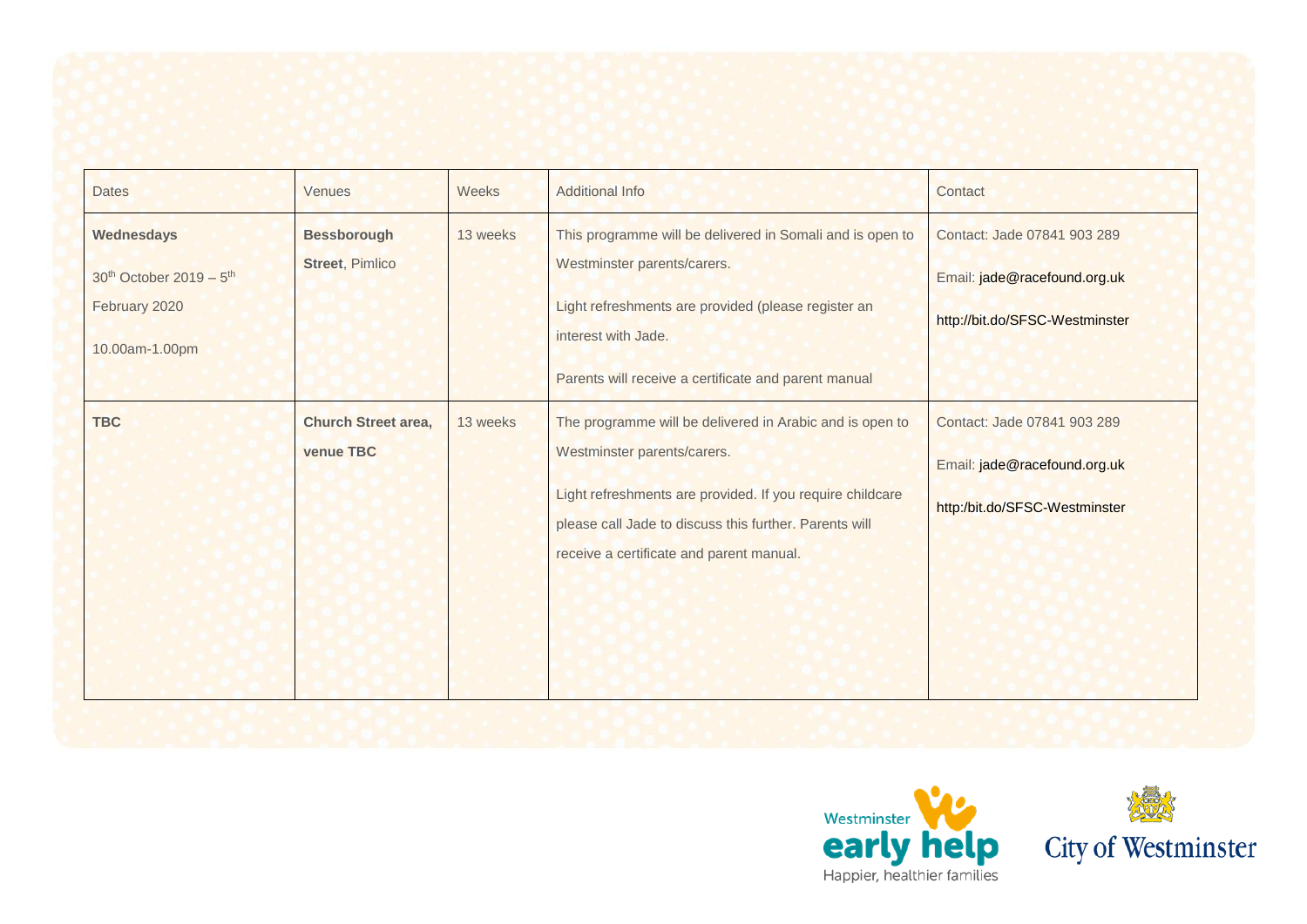| <b>Dates</b>                                                                                     | <b>Venues</b>                                  | Weeks    | <b>Additional Info</b>                                                                                                                                                                                                                                                                                             | Contact                                                                                       |
|--------------------------------------------------------------------------------------------------|------------------------------------------------|----------|--------------------------------------------------------------------------------------------------------------------------------------------------------------------------------------------------------------------------------------------------------------------------------------------------------------------|-----------------------------------------------------------------------------------------------|
| Wednesdays<br>30 <sup>th</sup> October 2019 - 5 <sup>th</sup><br>February 2020<br>10.00am-1.00pm | <b>Bessborough</b><br><b>Street, Pimlico</b>   | 13 weeks | This programme will be delivered in Somali and is open to<br>Westminster parents/carers.<br>Light refreshments are provided (please register an<br>interest with Jade.                                                                                                                                             | Contact: Jade 07841 903 289<br>Email: jade@racefound.org.uk<br>http://bit.do/SFSC-Westminster |
| <b>TBC</b>                                                                                       | <b>Church Street area,</b><br><b>venue TBC</b> | 13 weeks | Parents will receive a certificate and parent manual<br>The programme will be delivered in Arabic and is open to<br>Westminster parents/carers.<br>Light refreshments are provided. If you require childcare<br>please call Jade to discuss this further. Parents will<br>receive a certificate and parent manual. | Contact: Jade 07841 903 289<br>Email: jade@racefound.org.uk<br>http:/bit.do/SFSC-Westminster  |



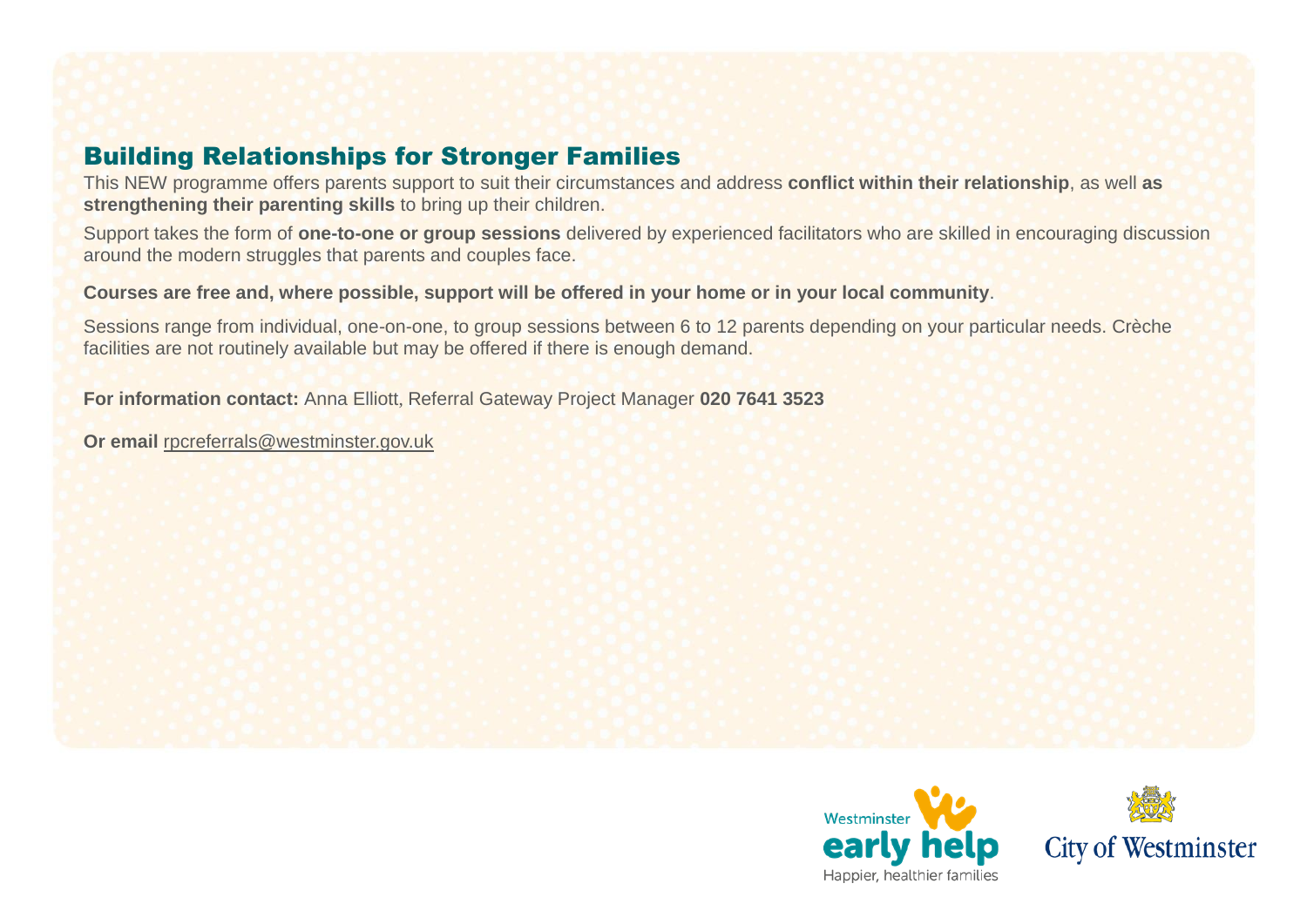#### Building Relationships for Stronger Families

This NEW programme offers parents support to suit their circumstances and address **conflict within their relationship**, as well **as strengthening their parenting skills** to bring up their children.

Support takes the form of **one-to-one or group sessions** delivered by experienced facilitators who are skilled in encouraging discussion around the modern struggles that parents and couples face.

**Courses are free and, where possible, support will be offered in your home or in your local community**.

Sessions range from individual, one-on-one, to group sessions between 6 to 12 parents depending on your particular needs. Crèche facilities are not routinely available but may be offered if there is enough demand.

**For information contact:** Anna Elliott, Referral Gateway Project Manager **020 7641 3523**

**Or email** [rpcreferrals@westminster.gov.uk](mailto:rpcreferrals@westminster.gov.uk)